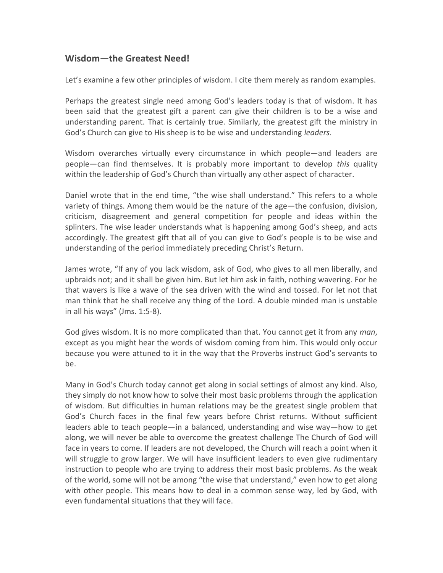## Wisdom—the Greatest Need!

Let's examine a few other principles of wisdom. I cite them merely as random examples.

Perhaps the greatest single need among God's leaders today is that of wisdom. It has been said that the greatest gift a parent can give their children is to be a wise and understanding parent. That is certainly true. Similarly, the greatest gift the ministry in God's Church can give to His sheep is to be wise and understanding leaders.

Wisdom overarches virtually every circumstance in which people—and leaders are people—can find themselves. It is probably more important to develop this quality within the leadership of God's Church than virtually any other aspect of character.

Daniel wrote that in the end time, "the wise shall understand." This refers to a whole variety of things. Among them would be the nature of the age—the confusion, division, criticism, disagreement and general competition for people and ideas within the splinters. The wise leader understands what is happening among God's sheep, and acts accordingly. The greatest gift that all of you can give to God's people is to be wise and understanding of the period immediately preceding Christ's Return.

James wrote, "If any of you lack wisdom, ask of God, who gives to all men liberally, and upbraids not; and it shall be given him. But let him ask in faith, nothing wavering. For he that wavers is like a wave of the sea driven with the wind and tossed. For let not that man think that he shall receive any thing of the Lord. A double minded man is unstable in all his ways" (Jms. 1:5-8).

God gives wisdom. It is no more complicated than that. You cannot get it from any man, except as you might hear the words of wisdom coming from him. This would only occur because you were attuned to it in the way that the Proverbs instruct God's servants to be.

Many in God's Church today cannot get along in social settings of almost any kind. Also, they simply do not know how to solve their most basic problems through the application of wisdom. But difficulties in human relations may be the greatest single problem that God's Church faces in the final few years before Christ returns. Without sufficient leaders able to teach people—in a balanced, understanding and wise way—how to get along, we will never be able to overcome the greatest challenge The Church of God will face in years to come. If leaders are not developed, the Church will reach a point when it will struggle to grow larger. We will have insufficient leaders to even give rudimentary instruction to people who are trying to address their most basic problems. As the weak of the world, some will not be among "the wise that understand," even how to get along with other people. This means how to deal in a common sense way, led by God, with even fundamental situations that they will face.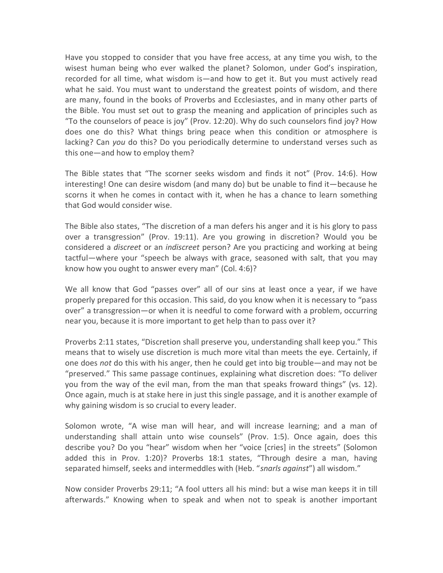Have you stopped to consider that you have free access, at any time you wish, to the wisest human being who ever walked the planet? Solomon, under God's inspiration, recorded for all time, what wisdom is—and how to get it. But you must actively read what he said. You must want to understand the greatest points of wisdom, and there are many, found in the books of Proverbs and Ecclesiastes, and in many other parts of the Bible. You must set out to grasp the meaning and application of principles such as "To the counselors of peace is joy" (Prov. 12:20). Why do such counselors find joy? How does one do this? What things bring peace when this condition or atmosphere is lacking? Can you do this? Do you periodically determine to understand verses such as this one—and how to employ them?

The Bible states that "The scorner seeks wisdom and finds it not" (Prov. 14:6). How interesting! One can desire wisdom (and many do) but be unable to find it—because he scorns it when he comes in contact with it, when he has a chance to learn something that God would consider wise.

The Bible also states, "The discretion of a man defers his anger and it is his glory to pass over a transgression" (Prov. 19:11). Are you growing in discretion? Would you be considered a *discreet* or an *indiscreet* person? Are you practicing and working at being tactful—where your "speech be always with grace, seasoned with salt, that you may know how you ought to answer every man" (Col. 4:6)?

We all know that God "passes over" all of our sins at least once a year, if we have properly prepared for this occasion. This said, do you know when it is necessary to "pass over" a transgression—or when it is needful to come forward with a problem, occurring near you, because it is more important to get help than to pass over it?

Proverbs 2:11 states, "Discretion shall preserve you, understanding shall keep you." This means that to wisely use discretion is much more vital than meets the eye. Certainly, if one does not do this with his anger, then he could get into big trouble—and may not be "preserved." This same passage continues, explaining what discretion does: "To deliver you from the way of the evil man, from the man that speaks froward things" (vs. 12). Once again, much is at stake here in just this single passage, and it is another example of why gaining wisdom is so crucial to every leader.

Solomon wrote, "A wise man will hear, and will increase learning; and a man of understanding shall attain unto wise counsels" (Prov. 1:5). Once again, does this describe you? Do you "hear" wisdom when her "voice [cries] in the streets" (Solomon added this in Prov. 1:20)? Proverbs 18:1 states, "Through desire a man, having separated himself, seeks and intermeddles with (Heb. "snarls against") all wisdom."

Now consider Proverbs 29:11; "A fool utters all his mind: but a wise man keeps it in till afterwards." Knowing when to speak and when not to speak is another important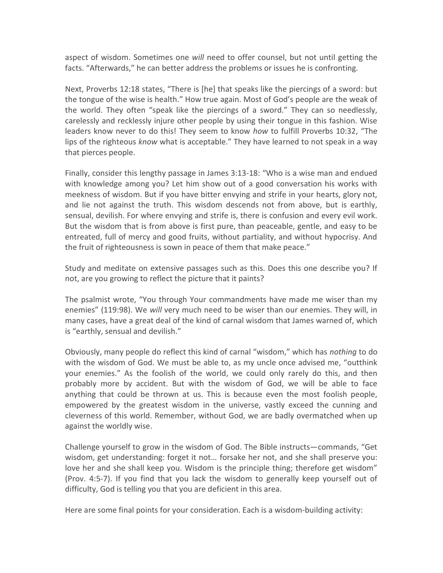aspect of wisdom. Sometimes one will need to offer counsel, but not until getting the facts. "Afterwards," he can better address the problems or issues he is confronting.

Next, Proverbs 12:18 states, "There is [he] that speaks like the piercings of a sword: but the tongue of the wise is health." How true again. Most of God's people are the weak of the world. They often "speak like the piercings of a sword." They can so needlessly, carelessly and recklessly injure other people by using their tongue in this fashion. Wise leaders know never to do this! They seem to know how to fulfill Proverbs 10:32, "The lips of the righteous know what is acceptable." They have learned to not speak in a way that pierces people.

Finally, consider this lengthy passage in James 3:13-18: "Who is a wise man and endued with knowledge among you? Let him show out of a good conversation his works with meekness of wisdom. But if you have bitter envying and strife in your hearts, glory not, and lie not against the truth. This wisdom descends not from above, but is earthly, sensual, devilish. For where envying and strife is, there is confusion and every evil work. But the wisdom that is from above is first pure, than peaceable, gentle, and easy to be entreated, full of mercy and good fruits, without partiality, and without hypocrisy. And the fruit of righteousness is sown in peace of them that make peace."

Study and meditate on extensive passages such as this. Does this one describe you? If not, are you growing to reflect the picture that it paints?

The psalmist wrote, "You through Your commandments have made me wiser than my enemies" (119:98). We will very much need to be wiser than our enemies. They will, in many cases, have a great deal of the kind of carnal wisdom that James warned of, which is "earthly, sensual and devilish."

Obviously, many people do reflect this kind of carnal "wisdom," which has nothing to do with the wisdom of God. We must be able to, as my uncle once advised me, "outthink your enemies." As the foolish of the world, we could only rarely do this, and then probably more by accident. But with the wisdom of God, we will be able to face anything that could be thrown at us. This is because even the most foolish people, empowered by the greatest wisdom in the universe, vastly exceed the cunning and cleverness of this world. Remember, without God, we are badly overmatched when up against the worldly wise.

Challenge yourself to grow in the wisdom of God. The Bible instructs—commands, "Get wisdom, get understanding: forget it not… forsake her not, and she shall preserve you: love her and she shall keep you. Wisdom is the principle thing; therefore get wisdom" (Prov. 4:5-7). If you find that you lack the wisdom to generally keep yourself out of difficulty, God is telling you that you are deficient in this area.

Here are some final points for your consideration. Each is a wisdom-building activity: